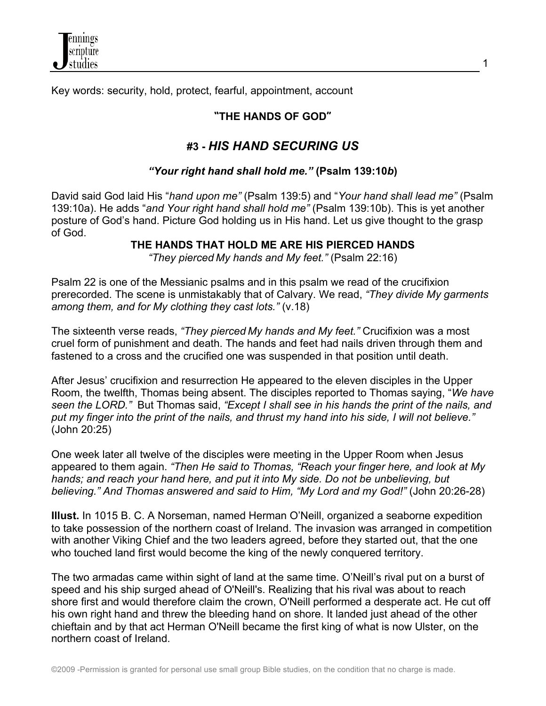

Key words: security, hold, protect, fearful, appointment, account

# **"THE HANDS OF GOD"**

1

# **#3 -** *HIS HAND SECURING US*

#### *"Your right hand shall hold me."* **(Psalm 139:10***b***)**

David said God laid His "*hand upon me"* (Psalm 139:5) and "*Your hand shall lead me"* (Psalm 139:10a). He adds "*and Your right hand shall hold me"* (Psalm 139:10b). This is yet another posture of God's hand. Picture God holding us in His hand. Let us give thought to the grasp of God.

**THE HANDS THAT HOLD ME ARE HIS PIERCED HANDS**

*"They pierced My hands and My feet."* (Psalm 22:16)

Psalm 22 is one of the Messianic psalms and in this psalm we read of the crucifixion prerecorded. The scene is unmistakably that of Calvary. We read, *"They divide My garments among them, and for My clothing they cast lots."* (v.18)

The sixteenth verse reads, *"They pierced My hands and My feet."* Crucifixion was a most cruel form of punishment and death. The hands and feet had nails driven through them and fastened to a cross and the crucified one was suspended in that position until death.

After Jesus' crucifixion and resurrection He appeared to the eleven disciples in the Upper Room, the twelfth, Thomas being absent. The disciples reported to Thomas saying, "*We have seen the LORD."* But Thomas said, *"Except I shall see in his hands the print of the nails, and put my finger into the print of the nails, and thrust my hand into his side, I will not believe."* (John 20:25)

One week later all twelve of the disciples were meeting in the Upper Room when Jesus appeared to them again. *"Then He said to Thomas, "Reach your finger here, and look at My hands; and reach your hand here, and put it into My side. Do not be unbelieving, but believing." And Thomas answered and said to Him, "My Lord and my God!"* (John 20:26-28)

**Illust.** In 1015 B. C. A Norseman, named Herman O'Neill, organized a seaborne expedition to take possession of the northern coast of Ireland. The invasion was arranged in competition with another Viking Chief and the two leaders agreed, before they started out, that the one who touched land first would become the king of the newly conquered territory.

The two armadas came within sight of land at the same time. O'Neill's rival put on a burst of speed and his ship surged ahead of O'Neill's. Realizing that his rival was about to reach shore first and would therefore claim the crown, O'Neill performed a desperate act. He cut off his own right hand and threw the bleeding hand on shore. It landed just ahead of the other chieftain and by that act Herman O'Neill became the first king of what is now Ulster, on the northern coast of Ireland.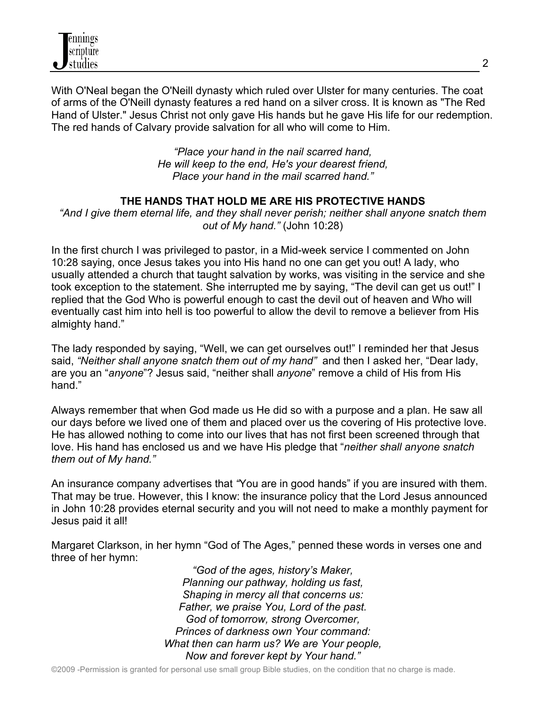

With O'Neal began the O'Neill dynasty which ruled over Ulster for many centuries. The coat of arms of the O'Neill dynasty features a red hand on a silver cross. It is known as "The Red Hand of Ulster." Jesus Christ not only gave His hands but he gave His life for our redemption. The red hands of Calvary provide salvation for all who will come to Him.

> *"Place your hand in the nail scarred hand, He will keep to the end, He's your dearest friend, Place your hand in the mail scarred hand."*

#### **THE HANDS THAT HOLD ME ARE HIS PROTECTIVE HANDS**

*"And I give them eternal life, and they shall never perish; neither shall anyone snatch them out of My hand."* (John 10:28)

In the first church I was privileged to pastor, in a Mid-week service I commented on John 10:28 saying, once Jesus takes you into His hand no one can get you out! A lady, who usually attended a church that taught salvation by works, was visiting in the service and she took exception to the statement. She interrupted me by saying, "The devil can get us out!" I replied that the God Who is powerful enough to cast the devil out of heaven and Who will eventually cast him into hell is too powerful to allow the devil to remove a believer from His almighty hand."

The lady responded by saying, "Well, we can get ourselves out!" I reminded her that Jesus said, *"Neither shall anyone snatch them out of my hand"* and then I asked her, "Dear lady, are you an "*anyone*"? Jesus said, "neither shall *anyone*" remove a child of His from His hand."

Always remember that when God made us He did so with a purpose and a plan. He saw all our days before we lived one of them and placed over us the covering of His protective love. He has allowed nothing to come into our lives that has not first been screened through that love. His hand has enclosed us and we have His pledge that "*neither shall anyone snatch them out of My hand."* 

An insurance company advertises that *"*You are in good hands" if you are insured with them. That may be true. However, this I know: the insurance policy that the Lord Jesus announced in John 10:28 provides eternal security and you will not need to make a monthly payment for Jesus paid it all!

Margaret Clarkson, in her hymn "God of The Ages," penned these words in verses one and three of her hymn:

> *"God of the ages, history's Maker, Planning our pathway, holding us fast, Shaping in mercy all that concerns us: Father, we praise You, Lord of the past. God of tomorrow, strong Overcomer, Princes of darkness own Your command: What then can harm us? We are Your people, Now and forever kept by Your hand."*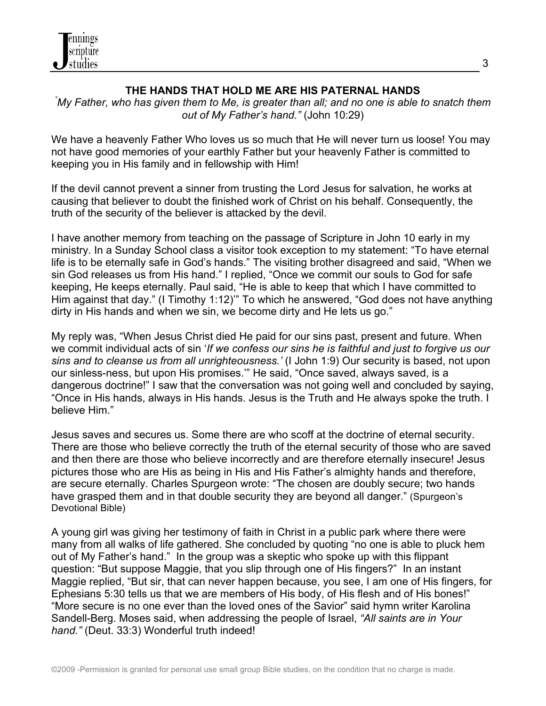

## **THE HANDS THAT HOLD ME ARE HIS PATERNAL HANDS** *"*

*My Father, who has given them to Me, is greater than all; and no one is able to snatch them out of My Father's hand."* (John 10:29)

We have a heavenly Father Who loves us so much that He will never turn us loose! You may not have good memories of your earthly Father but your heavenly Father is committed to keeping you in His family and in fellowship with Him!

If the devil cannot prevent a sinner from trusting the Lord Jesus for salvation, he works at causing that believer to doubt the finished work of Christ on his behalf. Consequently, the truth of the security of the believer is attacked by the devil.

I have another memory from teaching on the passage of Scripture in John 10 early in my ministry. In a Sunday School class a visitor took exception to my statement: "To have eternal life is to be eternally safe in God's hands." The visiting brother disagreed and said, "When we sin God releases us from His hand." I replied, "Once we commit our souls to God for safe keeping, He keeps eternally. Paul said, "He is able to keep that which I have committed to Him against that day." (I Timothy 1:12)'" To which he answered, "God does not have anything dirty in His hands and when we sin, we become dirty and He lets us go."

My reply was, "When Jesus Christ died He paid for our sins past, present and future. When we commit individual acts of sin '*If we confess our sins he is faithful and just to forgive us our sins and to cleanse us from all unrighteousness.'* (I John 1:9) Our security is based, not upon our sinless-ness, but upon His promises.'" He said, "Once saved, always saved, is a dangerous doctrine!" I saw that the conversation was not going well and concluded by saying, "Once in His hands, always in His hands. Jesus is the Truth and He always spoke the truth. I believe Him."

Jesus saves and secures us. Some there are who scoff at the doctrine of eternal security. There are those who believe correctly the truth of the eternal security of those who are saved and then there are those who believe incorrectly and are therefore eternally insecure! Jesus pictures those who are His as being in His and His Father's almighty hands and therefore, are secure eternally. Charles Spurgeon wrote: "The chosen are doubly secure; two hands have grasped them and in that double security they are beyond all danger." (Spurgeon's Devotional Bible)

A young girl was giving her testimony of faith in Christ in a public park where there were many from all walks of life gathered. She concluded by quoting "no one is able to pluck hem out of My Father's hand." In the group was a skeptic who spoke up with this flippant question: "But suppose Maggie, that you slip through one of His fingers?" In an instant Maggie replied, "But sir, that can never happen because, you see, I am one of His fingers, for Ephesians 5:30 tells us that we are members of His body, of His flesh and of His bones!" "More secure is no one ever than the loved ones of the Savior" said hymn writer Karolina Sandell-Berg. Moses said, when addressing the people of Israel, *"All saints are in Your hand."* (Deut. 33:3) Wonderful truth indeed!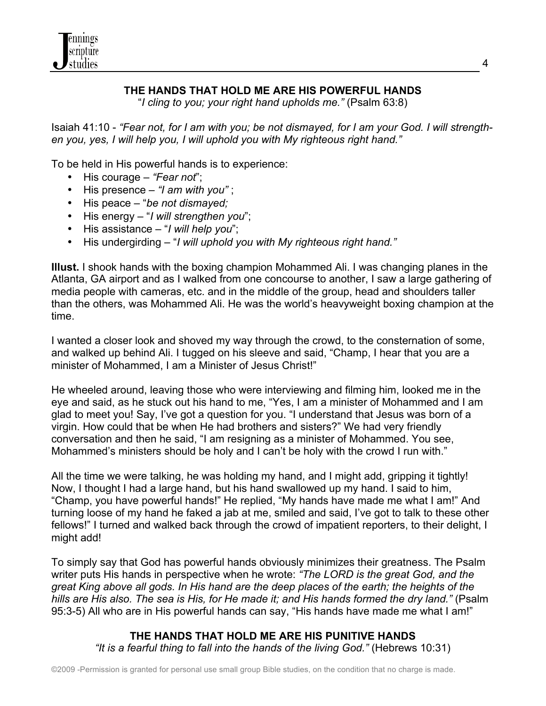

# **THE HANDS THAT HOLD ME ARE HIS POWERFUL HANDS**

"*I cling to you; your right hand upholds me."* (Psalm 63:8)

Isaiah 41:10 - *"Fear not, for I am with you; be not dismayed, for I am your God. I will strengthen you, yes, I will help you, I will uphold you with My righteous right hand."*

To be held in His powerful hands is to experience:

- His courage *"Fear not*";
- His presence *"I am with you"* ;
- His peace "*be not dismayed;*
- His energy "*I will strengthen you*";
- His assistance "*I will help you*";
- His undergirding "*I will uphold you with My righteous right hand."*

**Illust.** I shook hands with the boxing champion Mohammed Ali. I was changing planes in the Atlanta, GA airport and as I walked from one concourse to another, I saw a large gathering of media people with cameras, etc. and in the middle of the group, head and shoulders taller than the others, was Mohammed Ali. He was the world's heavyweight boxing champion at the time.

I wanted a closer look and shoved my way through the crowd, to the consternation of some, and walked up behind Ali. I tugged on his sleeve and said, "Champ, I hear that you are a minister of Mohammed, I am a Minister of Jesus Christ!"

He wheeled around, leaving those who were interviewing and filming him, looked me in the eye and said, as he stuck out his hand to me, "Yes, I am a minister of Mohammed and I am glad to meet you! Say, I've got a question for you. "I understand that Jesus was born of a virgin. How could that be when He had brothers and sisters?" We had very friendly conversation and then he said, "I am resigning as a minister of Mohammed. You see, Mohammed's ministers should be holy and I can't be holy with the crowd I run with."

All the time we were talking, he was holding my hand, and I might add, gripping it tightly! Now, I thought I had a large hand, but his hand swallowed up my hand. I said to him, "Champ, you have powerful hands!" He replied, "My hands have made me what I am!" And turning loose of my hand he faked a jab at me, smiled and said, I've got to talk to these other fellows!" I turned and walked back through the crowd of impatient reporters, to their delight, I might add!

To simply say that God has powerful hands obviously minimizes their greatness. The Psalm writer puts His hands in perspective when he wrote: *"The LORD is the great God, and the great King above all gods. In His hand are the deep places of the earth; the heights of the hills are His also. The sea is His, for He made it; and His hands formed the dry land."* (Psalm 95:3-5) All who are in His powerful hands can say, "His hands have made me what I am!"

#### **THE HANDS THAT HOLD ME ARE HIS PUNITIVE HANDS** *"It is a fearful thing to fall into the hands of the living God."* (Hebrews 10:31)